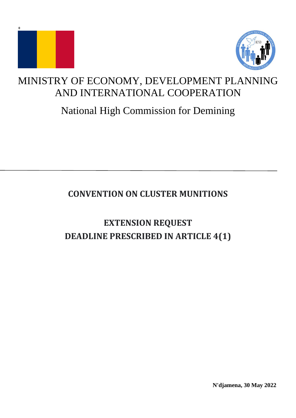



# MINISTRY OF ECONOMY, DEVELOPMENT PLANNING AND INTERNATIONAL COOPERATION

# National High Commission for Demining

# **CONVENTION ON CLUSTER MUNITIONS**

# **EXTENSION REQUEST DEADLINE PRESCRIBED IN ARTICLE 4(1)**

**N'djamena, 30 May 2022**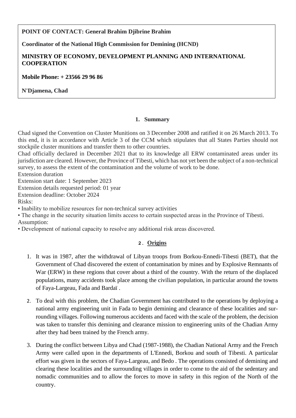# **POINT OF CONTACT: General Brahim Djibrine Brahim**

**Coordinator of the National High Commission for Demining (HCND)**

### **MINISTRY OF ECONOMY, DEVELOPMENT PLANNING AND INTERNATIONAL COOPERATION**

**Mobile Phone: + 23566 29 96 86**

**N'Djamena, Chad**

#### **1. Summary**

Chad signed the Convention on Cluster Munitions on 3 December 2008 and ratified it on 26 March 2013. To this end, it is in accordance with Article 3 of the CCM which stipulates that all States Parties should not stockpile cluster munitions and transfer them to other countries.

Chad officially declared in December 2021 that to its knowledge all ERW contaminated areas under its jurisdiction are cleared. However, the Province of Tibesti, which has not yet been the subject of a non-technical survey, to assess the extent of the contamination and the volume of work to be done.

Extension duration

Extension start date: 1 September 2023

Extension details requested period: 01 year

Extension deadline: October 2024

Risks:

• Inability to mobilize resources for non-technical survey activities

• The change in the security situation limits access to certain suspected areas in the Province of Tibesti. Assumption:

• Development of national capacity to resolve any additional risk areas discovered.

# **2. Origins**

- 1. It was in 1987, after the withdrawal of Libyan troops from Borkou-Ennedi-Tibesti (BET), that the Government of Chad discovered the extent of contamination by mines and by Explosive Remnants of War (ERW) in these regions that cover about a third of the country. With the return of the displaced populations, many accidents took place among the civilian population, in particular around the towns of Faya-Largeau, Fada and Bardaï .
- 2. To deal with this problem, the Chadian Government has contributed to the operations by deploying a national army engineering unit in Fada to begin demining and clearance of these localities and surrounding villages. Following numerous accidents and faced with the scale of the problem, the decision was taken to transfer this demining and clearance mission to engineering units of the Chadian Army after they had been trained by the French army.
- 3. During the conflict between Libya and Chad (1987-1988), the Chadian National Army and the French Army were called upon in the departments of L'Ennedi, Borkou and south of Tibesti. A particular effort was given in the sectors of Faya-Largeau, and Bedo . The operations consisted of demining and clearing these localities and the surrounding villages in order to come to the aid of the sedentary and nomadic communities and to allow the forces to move in safety in this region of the North of the country.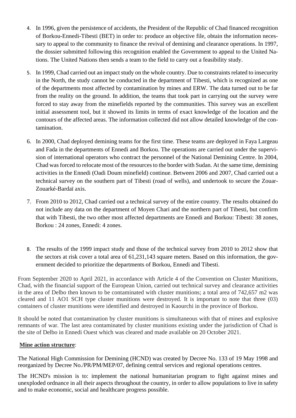- 4. In 1996, given the persistence of accidents, the President of the Republic of Chad financed recognition of Borkou-Ennedi-Tibesti (BET) in order to: produce an objective file, obtain the information necessary to appeal to the community to finance the revival of demining and clearance operations. In 1997, the dossier submitted following this recognition enabled the Government to appeal to the United Nations. The United Nations then sends a team to the field to carry out a feasibility study.
- 5. In 1999, Chad carried out an impact study on the whole country. Due to constraints related to insecurity in the North, the study cannot be conducted in the department of Tibesti, which is recognized as one of the departments most affected by contamination by mines and ERW. The data turned out to be far from the reality on the ground. In addition, the teams that took part in carrying out the survey were forced to stay away from the minefields reported by the communities. This survey was an excellent initial assessment tool, but it showed its limits in terms of exact knowledge of the location and the contours of the affected areas. The information collected did not allow detailed knowledge of the contamination.
- 6. In 2000, Chad deployed demining teams for the first time. These teams are deployed in Faya Largeau and Fada in the departments of Ennedi and Borkou. The operations are carried out under the supervision of international operators who contract the personnel of the National Demining Centre. In 2004, Chad was forced to relocate most of the resources to the border with Sudan. At the same time, demining activities in the Ennedi (Oadi Doum minefield) continue. Between 2006 and 2007, Chad carried out a technical survey on the southern part of Tibesti (road of wells), and undertook to secure the Zouar-Zouarké-Bardaï axis.
- 7. From 2010 to 2012, Chad carried out a technical survey of the entire country. The results obtained do not include any data on the department of Moyen Chari and the northern part of Tibesti, but confirm that with Tibesti, the two other most affected departments are Ennedi and Borkou: Tibesti: 38 zones, Borkou : 24 zones, Ennedi: 4 zones.
- 8. The results of the 1999 impact study and those of the technical survey from 2010 to 2012 show that the sectors at risk cover a total area of 61,231,143 square meters. Based on this information, the government decided to prioritize the departments of Borkou, Ennedi and Tibesti.

From September 2020 to April 2021, in accordance with Article 4 of the Convention on Cluster Munitions, Chad, with the financial support of the European Union, carried out technical survey and clearance activities in the area of Delbo then known to be contaminated with cluster munitions; a total area of 742,657 m2 was cleared and 11 AO1 SCH type cluster munitions were destroyed. It is important to note that three (03) containers of cluster munitions were identified and destroyed in Kaourchi in the province of Borkou.

It should be noted that contamination by cluster munitions is simultaneous with that of mines and explosive remnants of war. The last area contaminated by cluster munitions existing under the jurisdiction of Chad is the site of Delbo in Ennedi Ouest which was cleared and made available on 20 October 2021.

#### **Mine action structure**:

The National High Commission for Demining (HCND) was created by Decree No. 133 of 19 May 1998 and reorganized by Decree No./PR/PM/MEP/07, defining central services and regional operations centres.

The HCND's mission is to: implement the national humanitarian program to fight against mines and unexploded ordnance in all their aspects throughout the country, in order to allow populations to live in safety and to make economic, social and healthcare progress possible.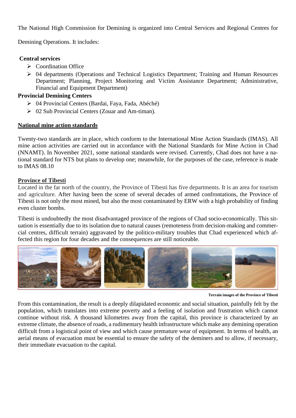The National High Commission for Demining is organized into Central Services and Regional Centres for

Demining Operations. It includes:

#### **Central services**

- ➢ Coordination Office
- ➢ 04 departments (Operations and Technical Logistics Department; Training and Human Resources Department; Planning, Project Monitoring and Victim Assistance Department; Administrative, Financial and Equipment Department)

#### **Provincial Demining Centers**

- ➢ 04 Provincial Centers (Bardai, Faya, Fada, Abéché)
- ➢ 02 Sub Provincial Centers (Zouar and Am-timan).

#### **National mine action standards**

Twenty-two standards are in place, which conform to the International Mine Action Standards (IMAS). All mine action activities are carried out in accordance with the National Standards for Mine Action in Chad (NNAMT). In November 2021, some national standards were revised. Currently, Chad does not have a national standard for NTS but plans to develop one; meanwhile, for the purposes of the case, reference is made to IMAS 08.10

#### **Province of Tibesti**

Located in the far north of the country, the Province of Tibesti has five departments. It is an area for tourism and agriculture. After having been the scene of several decades of armed confrontations, the Province of Tibesti is not only the most mined, but also the most contaminated by ERW with a high probability of finding even cluster bombs.

Tibesti is undoubtedly the most disadvantaged province of the regions of Chad socio-economically. This situation is essentially due to its isolation due to natural causes (remoteness from decision-making and commercial centres, difficult terrain) aggravated by the politico-military troubles that Chad experienced which affected this region for four decades and the consequences are still noticeable.



**Terrain images of the Province of Tibesti**

From this contamination, the result is a deeply dilapidated economic and social situation, painfully felt by the population, which translates into extreme poverty and a feeling of isolation and frustration which cannot continue without risk. A thousand kilometres away from the capital, this province is characterized by an extreme climate, the absence of roads, a rudimentary health infrastructure which make any demining operation difficult from a logistical point of view and which cause premature wear of equipment. In terms of health, an aerial means of evacuation must be essential to ensure the safety of the deminers and to allow, if necessary, their immediate evacuation to the capital.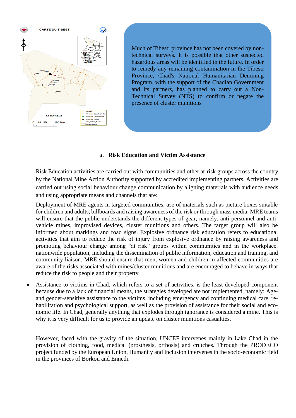

Much of Tibesti province has not been covered by nontechnical surveys. It is possible that other suspected hazardous areas will be identified in the future. In order to remedy any remaining contamination in the Tibesti Province, Chad's National Humanitarian Demining Program, with the support of the Chadian Government and its partners, has planned to carry out a Non-Technical Survey (NTS) to confirm or negate the presence of cluster munitions

### **3. Risk Education and Victim Assistance**

Risk Education activities are carried out with communities and other at-risk groups across the country by the National Mine Action Authority supported by accredited implementing partners. Activities are carried out using social behaviour change communication by aligning materials with audience needs and using appropriate means and channels that are:

Deployment of MRE agents in targeted communities, use of materials such as picture boxes suitable for children and adults, billboards and raising awareness of the risk or through mass media. MRE teams will ensure that the public understands the different types of gear, namely, anti-personnel and antivehicle mines, improvised devices, cluster munitions and others. The target group will also be informed about markings and road signs. Explosive ordnance risk education refers to educational activities that aim to reduce the risk of injury from explosive ordnance by raising awareness and promoting behaviour change among "at risk" groups within communities and in the workplace. nationwide population, including the dissemination of public information, education and training, and community liaison. MRE should ensure that men, women and children in affected communities are aware of the risks associated with mines/cluster munitions and are encouraged to behave in ways that reduce the risk to people and their property

Assistance to victims in Chad, which refers to a set of activities, is the least developed component because due to a lack of financial means, the strategies developed are not implemented, namely: Ageand gender-sensitive assistance to the victims, including emergency and continuing medical care, rehabilitation and psychological support, as well as the provision of assistance for their social and economic life. In Chad, generally anything that explodes through ignorance is considered a mine. This is why it is very difficult for us to provide an update on cluster munitions casualties.

However, faced with the gravity of the situation, UNCEF intervenes mainly in Lake Chad in the provision of clothing, food, medical (prosthesis, orthosis) and crutches. Through the PRODECO project funded by the European Union, Humanity and Inclusion intervenes in the socio-economic field in the provinces of Borkou and Ennedi.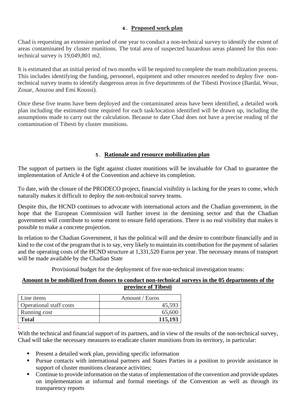#### **4. Proposed work plan**

Chad is requesting an extension period of one year to conduct a non-technical survey to identify the extent of areas contaminated by cluster munitions. The total area of suspected hazardous areas planned for this nontechnical survey is 19,049,801 m2.

It is estimated that an initial period of two months will be required to complete the team mobilization process. This includes identifying the funding, personnel, equipment and other resources needed to deploy five nontechnical survey teams to identify dangerous areas in five departments of the Tibesti Province (Bardaï, Wour, Zouar, Aouzou and Emi Koussi).

Once these five teams have been deployed and the contaminated areas have been identified, a detailed work plan including the estimated time required for each task/location identified will be drawn up, including the assumptions made to carry out the calculation. Because to date Chad does not have a precise reading of the contamination of Tibesti by cluster munitions.

# **5. Rationale and resource mobilization plan**

The support of partners in the fight against cluster munitions will be invaluable for Chad to guarantee the implementation of Article 4 of the Convention and achieve its completion.

To date, with the closure of the PRODECO project, financial visibility is lacking for the years to come, which naturally makes it difficult to deploy the non-technical survey teams.

Despite this, the HCND continues to advocate with international actors and the Chadian government, in the hope that the European Commission will further invest in the demining sector and that the Chadian government will contribute to some extent to ensure field operations. There is no real visibility that makes it possible to make a concrete projection.

In relation to the Chadian Government, it has the political will and the desire to contribute financially and in kind to the cost of the program that is to say, very likely to maintain its contribution for the payment of salaries and the operating costs of the HCND structure at 1,331,520 Euros per year. The necessary means of transport will be made available by the Chadian State

Provisional budget for the deployment of five non-technical investigation teams:

#### **Amount to be mobilized from donors to conduct non-technical surveys in the 05 departments of the province of Tibesti**

| Line items                     | Amount / Euros |
|--------------------------------|----------------|
| <b>Operational staff costs</b> | 45,593         |
| Running cost                   | 65,600         |
| <b>Total</b>                   | 115,193        |

;

With the technical and financial support of its partners, and in view of the results of the non-technical survey, Chad will take the necessary measures to eradicate cluster munitions from its territory, in particular:

- Present a detailed work plan, providing specific information
- Pursue contacts with international partners and States Parties in a position to provide assistance in support of cluster munitions clearance activities;
- Continue to provide information on the status of implementation of the convention and provide updates on implementation at informal and formal meetings of the Convention as well as through its transparency reports